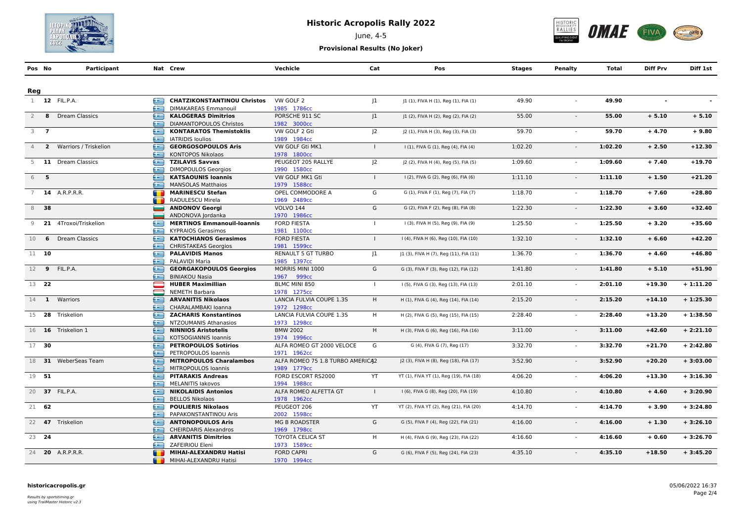

# **Historic Acropolis Rally 2022**

June, 4-5



**Provisional Results (No Joker)**

| Pos No                      |      | Participant             |   | Nat Crew                                  | Vechicle                         | Cat            | Pos                                     | Stages  | <b>Penalty</b> | Total   | <b>Diff Prv</b> | Diff 1st   |
|-----------------------------|------|-------------------------|---|-------------------------------------------|----------------------------------|----------------|-----------------------------------------|---------|----------------|---------|-----------------|------------|
|                             |      |                         |   |                                           |                                  |                |                                         |         |                |         |                 |            |
| Reg                         |      |                         |   |                                           |                                  |                |                                         |         |                |         |                 |            |
|                             |      | 1 12 FIL.P.A.           | Æ | <b>CHATZIKONSTANTINOU Christos</b>        | VW GOLF 2                        |                |                                         |         |                | 49.90   |                 |            |
|                             |      |                         | æ | DIMAKAREAS Emmanouil                      | 1985 1786cc                      | 1              | J1 (1), FIVA H (1), Reg (1), FIA (1)    | 49.90   |                |         |                 |            |
| $\overline{2}$              |      | 8 Dream Classics        | æ | <b>KALOGERAS Dimitrios</b>                | PORSCHE 911 SC                   | 1              | J1 (2), FIVA H (2), Reg (2), FIA (2)    | 55.00   | $\sim$         | 55.00   | $+ 5.10$        | $+ 5.10$   |
|                             |      |                         | æ | <b>DIAMANTOPOULOS Christos</b>            | 1982 3000cc                      |                |                                         |         |                |         |                 |            |
| $3 \overline{\phantom{0}7}$ |      |                         | œ | <b>KONTARATOS Themistoklis</b>            | VW GOLF 2 Gti                    | J <sub>2</sub> | J2 (1), FIVA H (3), Reg (3), FIA (3)    | 59.70   | $\omega$       | 59.70   | $+4.70$         | $+9.80$    |
|                             |      |                         | £ | <b>IATRIDIS loulios</b>                   | 1989 1984cc                      |                |                                         |         |                |         |                 |            |
|                             |      | 2 Warriors / Triskelion | œ | <b>GEORGOSOPOULOS Aris</b>                | VW GOLF Gti MK1                  | $\mathbf{I}$   | I (1), FIVA G (1), Reg (4), FIA (4)     | 1:02.20 | $\blacksquare$ | 1:02.20 | $+2.50$         | $+12.30$   |
|                             |      |                         | æ | <b>KONTOPOS Nikolaos</b>                  | 1978 1800cc                      |                |                                         |         |                |         |                 |            |
| 5                           |      | 11 Dream Classics       | £ | <b>TZILAVIS Savvas</b>                    | PEUGEOT 205 RALLYE               | 2              | J2 (2), FIVA H (4), Reg (5), FIA (5)    | 1:09.60 |                | 1:09.60 | $+7.40$         | $+19.70$   |
|                             |      |                         | æ | <b>DIMOPOULOS Georgios</b>                | 1990 1580cc                      |                |                                         |         |                |         |                 |            |
| 6 5                         |      |                         | æ | <b>KATSAOUNIS Ioannis</b>                 | VW GOLF MK1 Gti                  | $\mathbf{L}$   | I (2), FIVA G (2), Reg (6), FIA (6)     | 1:11.10 | $\sim$         | 1:11.10 | $+1.50$         | $+21.20$   |
|                             |      |                         | æ | <b>MANSOLAS Matthaios</b>                 | 1979 1588cc                      |                |                                         |         |                |         |                 |            |
| 7                           |      | <b>14</b> A.R.P.R.R.    | œ | <b>MARINESCU Stefan</b>                   | OPEL COMMODORE A                 | G              | G (1), FIVA F (1), Reg (7), FIA (7)     | 1:18.70 |                | 1:18.70 | $+7.60$         | $+28.80$   |
|                             |      |                         |   | RADULESCU Mirela                          | 1969 2489cc                      |                |                                         |         |                |         |                 |            |
|                             | 8 38 |                         |   | <b>ANDONOV Georgi</b>                     | <b>VOLVO 144</b>                 | G              | G (2), FIVA F (2), Reg (8), FIA (8)     | 1:22.30 | $\sim$         | 1:22.30 | $+3.60$         | $+32.40$   |
|                             |      |                         |   | ANDONOVA Jordanka                         | 1970 1986cc                      |                |                                         |         |                |         |                 |            |
| 9                           |      | 21 4Troxoi/Triskelion   | ⋐ | <b>MERTINOS Emmanouil-Ioannis</b>         | <b>FORD FIESTA</b>               | $\mathbf{L}$   | I (3), FIVA H (5), Reg (9), FIA (9)     | 1:25.50 | $\sim$         | 1:25.50 | $+3.20$         | $+35.60$   |
|                             |      |                         | ≘ | <b>KYPRAIOS Gerasimos</b>                 | 1981 1100cc                      |                |                                         |         |                |         |                 |            |
| 10                          | 6    | <b>Dream Classics</b>   | æ | <b>KATOCHIANOS Gerasimos</b>              | <b>FORD FIESTA</b>               | $\mathbf{I}$   | I (4), FIVA H (6), Reg (10), FIA (10)   | 1:32.10 | $\sim$         | 1:32.10 | $+6.60$         | $+42.20$   |
|                             |      |                         | æ | <b>CHRISTAKEAS Georgios</b>               | 1981 1599cc                      |                |                                         |         |                |         |                 |            |
| $11 - 10$                   |      |                         | œ | <b>PALAVIDIS Manos</b>                    | RENAULT 5 GT TURBO               | $ 1\rangle$    | J1 (3), FIVA H (7), Reg (11), FIA (11)  | 1:36.70 | $\sim$         | 1:36.70 | $+4.60$         | $+46.80$   |
|                             |      |                         | œ | PALAVIDI Maria                            | 1985 1397cc                      |                |                                         |         |                |         |                 |            |
|                             |      | 12 9 FIL.P.A.           | œ | <b>GEORGAKOPOULOS Georgios</b>            | MORRIS MINI 1000                 | G              | G (3), FIVA F (3), Reg (12), FIA (12)   | 1:41.80 | $\blacksquare$ | 1:41.80 | $+ 5.10$        | $+51.90$   |
|                             |      |                         | æ | <b>BINIAKOU Nasia</b>                     | 1967 999сс                       |                |                                         |         |                |         |                 |            |
| 13 22                       |      |                         | ═ | <b>HUBER Maximillian</b>                  | BLMC MINI 850                    | $\mathbf{I}$   | I (5), FIVA G (3), Reg (13), FIA (13)   | 2:01.10 | $\sim$         | 2:01.10 | $+19.30$        | $+1:11.20$ |
|                             |      |                         |   | <b>NEMETH Barbara</b>                     | 1978 1275cc                      |                |                                         |         |                |         |                 |            |
|                             |      | 14 1 Warriors           | œ | <b>ARVANITIS Nikolaos</b>                 | LANCIA FULVIA COUPE 1.3S         | H              | H (1), FIVA G (4), Reg (14), FIA (14)   | 2:15.20 | $\sim$         | 2:15.20 | $+14.10$        | $+1:25.30$ |
|                             |      |                         | æ | CHARALAMBAKI Ioanna                       | 1972 1298cc                      |                |                                         |         |                |         |                 |            |
|                             |      | 15 28 Triskelion        | Œ | <b>ZACHARIS Konstantinos</b>              | LANCIA FULVIA COUPE 1.3S         | H              | H (2), FIVA G (5), Reg (15), FIA (15)   | 2:28.40 | $\sim$         | 2:28.40 | $+13.20$        | $+1:38.50$ |
|                             |      |                         | œ | NTZOUMANIS Athanasios                     | 1973 1298cc                      |                |                                         |         |                |         |                 |            |
|                             |      | 16 16 Triskelion 1      | œ | <b>NINNIOS Aristotelis</b>                | <b>BMW 2002</b>                  | H              | H (3), FIVA G (6), Reg (16), FIA (16)   | 3:11.00 | $\omega$       | 3:11.00 | $+42.60$        | $+2:21.10$ |
|                             |      |                         | æ | <b>KOTSOGIANNIS Ioannis</b>               | 1974 1996сс                      |                |                                         |         |                |         |                 |            |
| $17 - 30$                   |      |                         |   | <b>PETROPOULOS Sotirios</b>               | ALFA ROMEO GT 2000 VELOCE        | G              | G (4), FIVA G (7), Reg (17)             | 3:32.70 | $\sim$         | 3:32.70 | $+21.70$        | $+2:42.80$ |
|                             |      |                         | æ | PETROPOULOS Ioannis                       | 1971 1962cc                      |                |                                         |         |                |         |                 |            |
|                             |      | 18 31 WeberSeas Team    | œ | <b>MITROPOULOS Charalambos</b>            | ALFA ROMEO 75 1.8 TURBO AMERICA2 |                | J2 (3), FIVA H (8), Reg (18), FIA (17)  | 3:52.90 | $\mathcal{L}$  | 3:52.90 | $+20.20$        | $+3:03.00$ |
|                             |      |                         | œ | MITROPOULOS Ioannis                       | 1989 1779cc                      |                |                                         |         |                |         |                 |            |
| 19 51                       |      |                         | œ | <b>PITARAKIS Andreas</b>                  | FORD ESCORT RS2000               | <b>YT</b>      | YT (1), FIVA YT (1), Reg (19), FIA (18) | 4:06.20 | $\sim$         | 4:06.20 | $+13.30$        | $+3:16.30$ |
|                             |      |                         | æ | <b>MELANITIS lakovos</b>                  | 1994 1988cc                      |                |                                         |         |                |         |                 |            |
|                             |      | 20 37 FIL.P.A.          | ≘ | <b>NIKOLAIDIS Antonios</b>                | ALFA ROMEO ALFETTA GT            | $\mathbf{I}$   | I (6), FIVA G (8), Reg (20), FIA (19)   | 4:10.80 |                | 4:10.80 | $+4.60$         | $+3:20.90$ |
|                             |      |                         | æ | <b>BELLOS Nikolaos</b>                    | 1978 1962cc                      |                |                                         |         |                |         |                 |            |
| 21 62                       |      |                         | e | <b>POULIERIS Nikolaos</b>                 | PEUGEOT 206                      | YT             | YT (2), FIVA YT (2), Reg (21), FIA (20) | 4:14.70 | $\sim$         | 4:14.70 | $+3.90$         | $+3:24.80$ |
|                             |      |                         | æ | PAPAKONSTANTINOU Aris                     | 2002 1598cc                      |                |                                         |         |                |         |                 |            |
|                             |      | 22 47 Triskelion        | £ | <b>ANTONOPOULOS Aris</b>                  | <b>MG B ROADSTER</b>             | G              | G (5), FIVA F (4), Reg (22), FIA (21)   | 4:16.00 | $\sim$         | 4:16.00 | $+1.30$         | $+3:26.10$ |
|                             |      |                         | œ | <b>CHEIRDARIS Alexandros</b>              | 1969 1798cc                      |                |                                         |         |                |         |                 |            |
| 23 24                       |      |                         | e | <b>ARVANITIS Dimitrios</b>                | TOYOTA CELICA ST                 | H              | H (4), FIVA G (9), Reg (23), FIA (22)   | 4:16.60 | $\sim$         | 4:16.60 | $+0.60$         | $+3:26.70$ |
|                             |      | 24 <b>20</b> A.R.P.R.R. | æ | ZAFEIRIOU Eleni<br>MIHAI-ALEXANDRU Hatisi | 1973 1589cc                      | G              |                                         |         |                |         |                 |            |
|                             |      |                         |   | MIHAI-ALEXANDRU Hatisi                    | <b>FORD CAPRI</b><br>1970 1994cc |                | G (6), FIVA F (5), Reg (24), FIA (23)   | 4:35.10 |                | 4:35.10 | $+18.50$        | $+3:45.20$ |
|                             |      |                         | m |                                           |                                  |                |                                         |         |                |         |                 |            |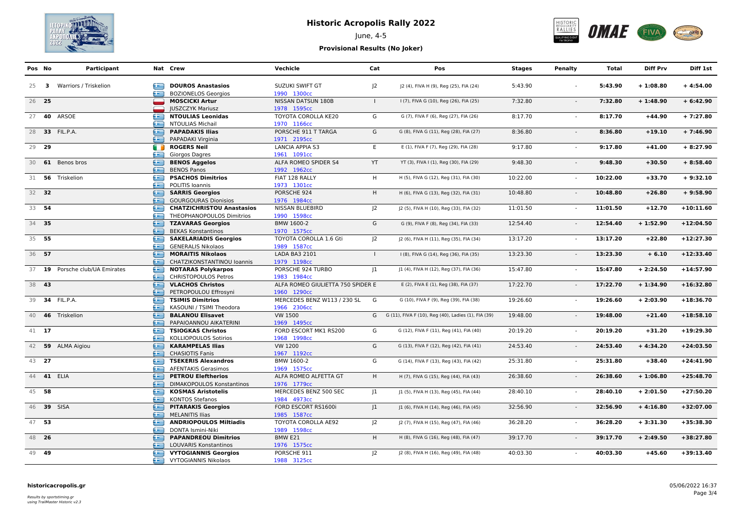

# **Historic Acropolis Rally 2022**

June, 4-5



## **Provisional Results (No Joker)**

| Pos No |       | Participant                    |        | Nat Crew                                            | Vechicle                           | Cat          | Pos                                                   | <b>Stages</b> | Penalty        | Total    | <b>Diff Prv</b> | Diff 1st    |
|--------|-------|--------------------------------|--------|-----------------------------------------------------|------------------------------------|--------------|-------------------------------------------------------|---------------|----------------|----------|-----------------|-------------|
|        |       | 25 3 Warriors / Triskelion     | œ      | <b>DOUROS Anastasios</b>                            | SUZUKI SWIFT GT                    | $ 2\rangle$  | J2 (4), FIVA H (9), Reg (25), FIA (24)                | 5:43.90       |                | 5:43.90  | $+1:08.80$      | $+4:54.00$  |
|        |       |                                | æ      | <b>BOZIONELOS Georgios</b>                          | 1990 1300cc                        |              |                                                       |               |                |          |                 |             |
| 26 25  |       |                                |        | <b>MOSCICKI Artur</b>                               | NISSAN DATSUN 180B                 | $\mathbf{I}$ | I (7), FIVA G (10), Reg (26), FIA (25)                | 7:32.80       | $\blacksquare$ | 7:32.80  | $+1:48.90$      | $+6:42.90$  |
|        |       | 27 <b>40</b> ARSOE             |        | <b>IUSZCZYK Mariusz</b><br><b>NTOULIAS Leonidas</b> | 1978 1595cc                        | G            |                                                       | 8:17.70       |                | 8:17.70  | $+44.90$        | $+7:27.80$  |
|        |       |                                | œ<br>æ | <b>NTOULIAS Michail</b>                             | TOYOTA COROLLA KE20<br>1970 1166cc |              | G (7), FIVA F (6), Reg (27), FIA (26)                 |               |                |          |                 |             |
|        |       | 28 33 FIL.P.A.                 | ≘      | <b>PAPADAKIS Ilias</b>                              | PORSCHE 911 T TARGA                | G            |                                                       | 8:36.80       | $\blacksquare$ | 8:36.80  | $+19.10$        | $+7:46.90$  |
|        |       |                                | æ      | PAPADAKI Virginia                                   | 1971 2195cc                        |              | G (8), FIVA G (11), Reg (28), FIA (27)                |               |                |          |                 |             |
|        | 29 29 |                                | G D    | <b>ROGERS Neil</b>                                  | <b>LANCIA APPIA S3</b>             | E            | E (1), FIVA F (7), Reg (29), FIA (28)                 | 9:17.80       |                | 9:17.80  | $+41.00$        | $+8:27.90$  |
|        |       |                                | Æ      | Giorgos Dagres                                      | 1961 1091cc                        |              |                                                       |               |                |          |                 |             |
|        |       | 30 61 Benos bros               | ⋐      | <b>BENOS Aggelos</b>                                | ALFA ROMEO SPIDER S4               | YT           | YT (3), FIVA I (1), Reg (30), FIA (29)                | 9:48.30       | $\sim$         | 9:48.30  | $+30.50$        | $+8:58.40$  |
|        |       |                                | œ      | <b>BENOS Panos</b>                                  | 1992 1962cc                        |              |                                                       |               |                |          |                 |             |
|        |       | 31 56 Triskelion               | œ      | <b>PSACHOS Dimitrios</b>                            | FIAT 128 RALLY                     | H            | H (5), FIVA G (12), Reg (31), FIA (30)                | 10:22.00      |                | 10:22.00 | $+33.70$        | $+9:32.10$  |
|        |       |                                | æ      | POLITIS Ioannis                                     | 1973 1301cc                        |              |                                                       |               |                |          |                 |             |
|        | 32 32 |                                |        | <b>SARRIS Georgios</b>                              | PORSCHE 924                        | H            | H (6), FIVA G (13), Reg (32), FIA (31)                | 10:48.80      | $\blacksquare$ | 10:48.80 | $+26.80$        | $+9:58.90$  |
|        |       |                                | œ      | <b>GOURGOURAS Dionisios</b>                         | 1976 1984cc                        |              |                                                       |               |                |          |                 |             |
|        | 33 54 |                                | œ      | <b>CHATZICHRISTOU Anastasios</b>                    | NISSAN BLUEBIRD                    | $ 2\rangle$  | J2 (5), FIVA H (10), Reg (33), FIA (32)               | 11:01.50      | $\sim$         | 11:01.50 | $+12.70$        | $+10:11.60$ |
|        |       |                                | œ      | THEOPHANOPOULOS Dimitrios                           | 1990 1598cc                        |              |                                                       |               |                |          |                 |             |
| 34 35  |       |                                | e      | <b>TZAVARAS Georgios</b>                            | BMW 1600-2                         | G            | G (9), FIVA F (8), Reg (34), FIA (33)                 | 12:54.40      | $\sim$         | 12:54.40 | $+1:52.90$      | $+12:04.50$ |
|        |       |                                | æ      | <b>BEKAS Konstantinos</b>                           | 1970 1575cc                        |              |                                                       |               |                |          |                 |             |
|        | 35 55 |                                | ⊜      | <b>SAKELARIADIS Georgios</b>                        | TOYOTA COROLLA 1.6 Gti             | $ 2\rangle$  | J2 (6), FIVA H (11), Reg (35), FIA (34)               | 13:17.20      |                | 13:17.20 | $+22.80$        | $+12:27.30$ |
|        |       |                                | æ      | <b>GENERALIS Nikolaos</b>                           | 1989 1587cc                        |              |                                                       |               |                |          |                 |             |
| 36 57  |       |                                | ⊜      | <b>MORAITIS Nikolaos</b>                            | LADA BA3 2101                      | $\mathbf{I}$ | I (8), FIVA G (14), Reg (36), FIA (35)                | 13:23.30      | $\mathbf{r}$   | 13:23.30 | $+6.10$         | $+12:33.40$ |
|        |       |                                | æ      | CHATZIKONSTANTINOU Ioannis                          | 1979 1198cc                        |              |                                                       |               |                |          |                 |             |
|        |       | 37 19 Porsche club/UA Emirates | e      | <b>NOTARAS Polykarpos</b>                           | PORSCHE 924 TURBO                  | 1            | J1 (4), FIVA H (12), Reg (37), FIA (36)               | 15:47.80      |                | 15:47.80 | $+2:24.50$      | $+14:57.90$ |
|        |       |                                | œ      | CHRISTOPOULOS Petros                                | 1983 1984cc                        |              |                                                       |               |                |          |                 |             |
| 38 43  |       |                                | ≘      | <b>VLACHOS Christos</b>                             | ALFA ROMEO GIULIETTA 750 SPIDER E  |              | E (2), FIVA E (1), Reg (38), FIA (37)                 | 17:22.70      | $\sim$         | 17:22.70 | $+1:34.90$      | $+16:32.80$ |
|        |       |                                | æ      | PETROPOULOU Effrosyni                               | 1960 1290cc                        |              |                                                       |               |                |          |                 |             |
|        |       | 39 34 FIL.P.A.                 | œ      | <b>TSIMIS Dimitrios</b>                             | MERCEDES BENZ W113 / 230 SL        | G            | G (10), FIVA F (9), Reg (39), FIA (38)                | 19:26.60      | $\sim$         | 19:26.60 | $+2:03.90$      | $+18:36.70$ |
|        |       |                                | œ      | KASOUNI / TSIMI Theodora                            | 1966 2306сс                        |              |                                                       |               |                |          |                 |             |
|        |       | 40 46 Triskelion               | œ      | <b>BALANOU Elisavet</b>                             | VW 1500                            |              | G G (11), FIVA F (10), Reg (40), Ladies (1), FIA (39) | 19:48.00      |                | 19:48.00 | $+21.40$        | $+18:58.10$ |
|        |       |                                | œ      | PAPAIOANNOU AIKATERINI                              | 1969 1495cc                        |              |                                                       |               |                |          |                 |             |
|        | 41 17 |                                | e      | <b>TSIOGKAS Christos</b>                            | FORD ESCORT MK1 RS200              | G            | G (12), FIVA F (11), Reg (41), FIA (40)               | 20:19.20      |                | 20:19.20 | $+31.20$        | $+19:29.30$ |
|        |       |                                | æ      | KOLLIOPOULOS Sotirios                               | 1968 1998cc                        |              |                                                       |               |                |          |                 |             |
|        |       | 42 59 ALMA Aigiou              | ⊜      | <b>KARAMPELAS Ilias</b>                             | VW 1200                            | G            | G (13), FIVA F (12), Reg (42), FIA (41)               | 24:53.40      | $\sim$         | 24:53.40 | $+4:34.20$      | $+24:03.50$ |
|        |       |                                | æ      | <b>CHASIOTIS Fanis</b>                              | 1967 1192cc                        |              |                                                       |               |                |          |                 |             |
|        | 43 27 |                                | œ      | <b>TSEKERIS Alexandros</b>                          | BMW 1600-2                         | G            | G (14), FIVA F (13), Reg (43), FIA (42)               | 25:31.80      |                | 25:31.80 | $+38.40$        | $+24:41.90$ |
|        |       |                                | æ      | <b>AFENTAKIS Gerasimos</b>                          | 1969 1575cc                        |              |                                                       |               |                |          |                 |             |
|        |       | 44 41 ELIA                     | œ      | <b>PETROU Eleftherios</b>                           | ALFA ROMEO ALFETTA GT              | H.           | H (7), FIVA G (15), Reg (44), FIA (43)                | 26:38.60      | $\blacksquare$ | 26:38.60 | $+1:06.80$      | $+25:48.70$ |
|        |       |                                | æ      | <b>DIMAKOPOULOS Konstantinos</b>                    | 1976 1779cc                        |              |                                                       |               |                |          |                 |             |
|        | 45 58 |                                | £      | <b>KOSMAS Aristotelis</b>                           | MERCEDES BENZ 500 SEC              | 1            | J1 (5), FIVA H (13), Reg (45), FIA (44)               | 28:40.10      | $\blacksquare$ | 28:40.10 | $+2:01.50$      | $+27:50.20$ |
|        |       |                                | æ      | <b>KONTOS Stefanos</b>                              | 1984 4973cc                        |              |                                                       |               |                |          |                 |             |
|        |       | 46 39 SISA                     | £      | <b>PITARAKIS Georgios</b>                           | FORD ESCORT RS1600i                | 1            | J1 (6), FIVA H (14), Reg (46), FIA (45)               | 32:56.90      |                | 32:56.90 | $+4:16.80$      | $+32:07.00$ |
|        |       |                                | æ      | <b>MELANITIS Ilias</b>                              | 1985 1587cc                        |              |                                                       |               |                |          |                 |             |
|        | 47 53 |                                | œ      | <b>ANDRIOPOULOS Miltiadis</b>                       | TOYOTA COROLLA AE92                | $ 2\rangle$  | J2 (7), FIVA H (15), Reg (47), FIA (46)               | 36:28.20      |                | 36:28.20 | $+3:31.30$      | $+35:38.30$ |
|        |       |                                | æ      | DONTA Ismini-Niki                                   | 1989 1598cc                        |              |                                                       |               |                |          |                 |             |
|        | 48 26 |                                | ≘      | <b>PAPANDREOU Dimitrios</b>                         | BMW E21                            | H            | H (8), FIVA G (16), Reg (48), FIA (47)                | 39:17.70      | $\sim$         | 39:17.70 | $+2:49.50$      | $+38:27.80$ |
|        |       |                                | œ      | LOUVARIS Konstantinos                               | 1976 1575cc                        |              |                                                       |               |                |          |                 |             |
|        | 49 49 |                                | ≘      | <b>VYTOGIANNIS Georgios</b>                         | PORSCHE 911                        | $ 2\rangle$  | J2 (8), FIVA H (16), Reg (49), FIA (48)               | 40:03.30      |                | 40:03.30 | $+45.60$        | $+39:13.40$ |
|        |       |                                | æ      | <b>VYTOGIANNIS Nikolaos</b>                         | 1988 3125cc                        |              |                                                       |               |                |          |                 |             |